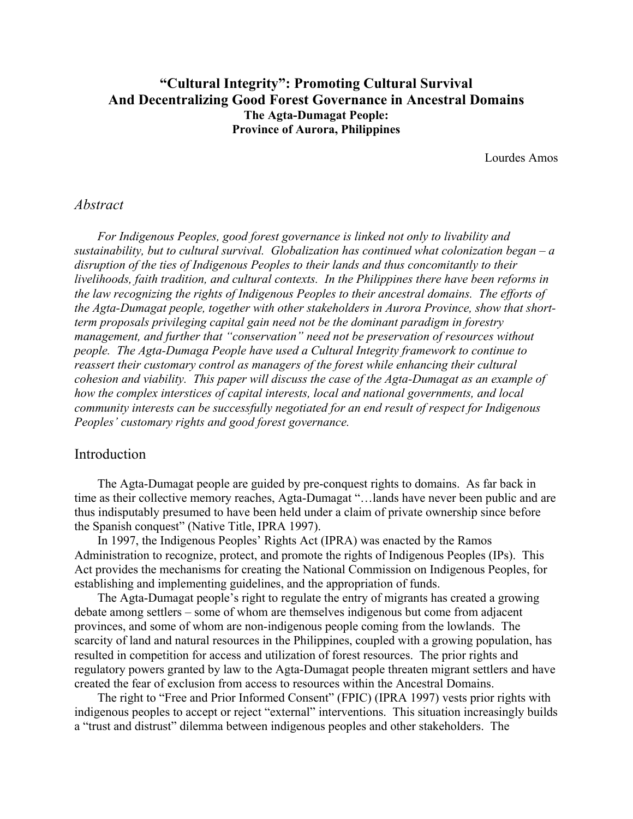# **"Cultural Integrity": Promoting Cultural Survival And Decentralizing Good Forest Governance in Ancestral Domains The Agta-Dumagat People: Province of Aurora, Philippines**

Lourdes Amos

## *Abstract*

*For Indigenous Peoples, good forest governance is linked not only to livability and sustainability, but to cultural survival. Globalization has continued what colonization began – a disruption of the ties of Indigenous Peoples to their lands and thus concomitantly to their livelihoods, faith tradition, and cultural contexts. In the Philippines there have been reforms in the law recognizing the rights of Indigenous Peoples to their ancestral domains. The efforts of the Agta-Dumagat people, together with other stakeholders in Aurora Province, show that shortterm proposals privileging capital gain need not be the dominant paradigm in forestry management, and further that "conservation" need not be preservation of resources without people. The Agta-Dumaga People have used a Cultural Integrity framework to continue to reassert their customary control as managers of the forest while enhancing their cultural cohesion and viability. This paper will discuss the case of the Agta-Dumagat as an example of how the complex interstices of capital interests, local and national governments, and local community interests can be successfully negotiated for an end result of respect for Indigenous Peoples' customary rights and good forest governance.* 

## Introduction

The Agta-Dumagat people are guided by pre-conquest rights to domains. As far back in time as their collective memory reaches, Agta-Dumagat "…lands have never been public and are thus indisputably presumed to have been held under a claim of private ownership since before the Spanish conquest" (Native Title, IPRA 1997).

In 1997, the Indigenous Peoples' Rights Act (IPRA) was enacted by the Ramos Administration to recognize, protect, and promote the rights of Indigenous Peoples (IPs). This Act provides the mechanisms for creating the National Commission on Indigenous Peoples, for establishing and implementing guidelines, and the appropriation of funds.

The Agta-Dumagat people's right to regulate the entry of migrants has created a growing debate among settlers – some of whom are themselves indigenous but come from adjacent provinces, and some of whom are non-indigenous people coming from the lowlands. The scarcity of land and natural resources in the Philippines, coupled with a growing population, has resulted in competition for access and utilization of forest resources. The prior rights and regulatory powers granted by law to the Agta-Dumagat people threaten migrant settlers and have created the fear of exclusion from access to resources within the Ancestral Domains.

The right to "Free and Prior Informed Consent" (FPIC) (IPRA 1997) vests prior rights with indigenous peoples to accept or reject "external" interventions. This situation increasingly builds a "trust and distrust" dilemma between indigenous peoples and other stakeholders. The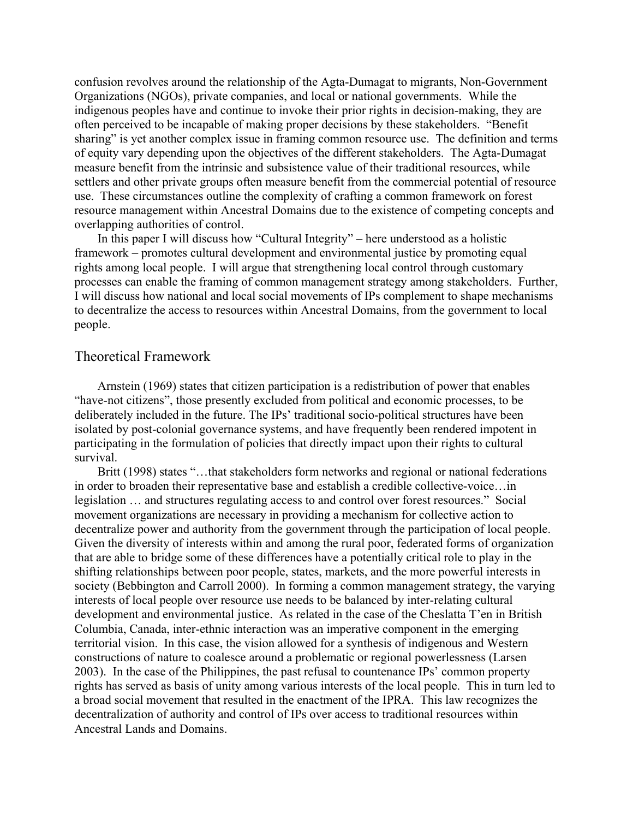confusion revolves around the relationship of the Agta-Dumagat to migrants, Non-Government Organizations (NGOs), private companies, and local or national governments. While the indigenous peoples have and continue to invoke their prior rights in decision-making, they are often perceived to be incapable of making proper decisions by these stakeholders. "Benefit sharing" is yet another complex issue in framing common resource use. The definition and terms of equity vary depending upon the objectives of the different stakeholders. The Agta-Dumagat measure benefit from the intrinsic and subsistence value of their traditional resources, while settlers and other private groups often measure benefit from the commercial potential of resource use. These circumstances outline the complexity of crafting a common framework on forest resource management within Ancestral Domains due to the existence of competing concepts and overlapping authorities of control.

In this paper I will discuss how "Cultural Integrity" – here understood as a holistic framework – promotes cultural development and environmental justice by promoting equal rights among local people. I will argue that strengthening local control through customary processes can enable the framing of common management strategy among stakeholders. Further, I will discuss how national and local social movements of IPs complement to shape mechanisms to decentralize the access to resources within Ancestral Domains, from the government to local people.

## Theoretical Framework

Arnstein (1969) states that citizen participation is a redistribution of power that enables "have-not citizens", those presently excluded from political and economic processes, to be deliberately included in the future. The IPs' traditional socio-political structures have been isolated by post-colonial governance systems, and have frequently been rendered impotent in participating in the formulation of policies that directly impact upon their rights to cultural survival.

Britt (1998) states "...that stakeholders form networks and regional or national federations in order to broaden their representative base and establish a credible collective-voice…in legislation … and structures regulating access to and control over forest resources." Social movement organizations are necessary in providing a mechanism for collective action to decentralize power and authority from the government through the participation of local people. Given the diversity of interests within and among the rural poor, federated forms of organization that are able to bridge some of these differences have a potentially critical role to play in the shifting relationships between poor people, states, markets, and the more powerful interests in society (Bebbington and Carroll 2000). In forming a common management strategy, the varying interests of local people over resource use needs to be balanced by inter-relating cultural development and environmental justice. As related in the case of the Cheslatta T'en in British Columbia, Canada, inter-ethnic interaction was an imperative component in the emerging territorial vision. In this case, the vision allowed for a synthesis of indigenous and Western constructions of nature to coalesce around a problematic or regional powerlessness (Larsen 2003). In the case of the Philippines, the past refusal to countenance IPs' common property rights has served as basis of unity among various interests of the local people. This in turn led to a broad social movement that resulted in the enactment of the IPRA. This law recognizes the decentralization of authority and control of IPs over access to traditional resources within Ancestral Lands and Domains.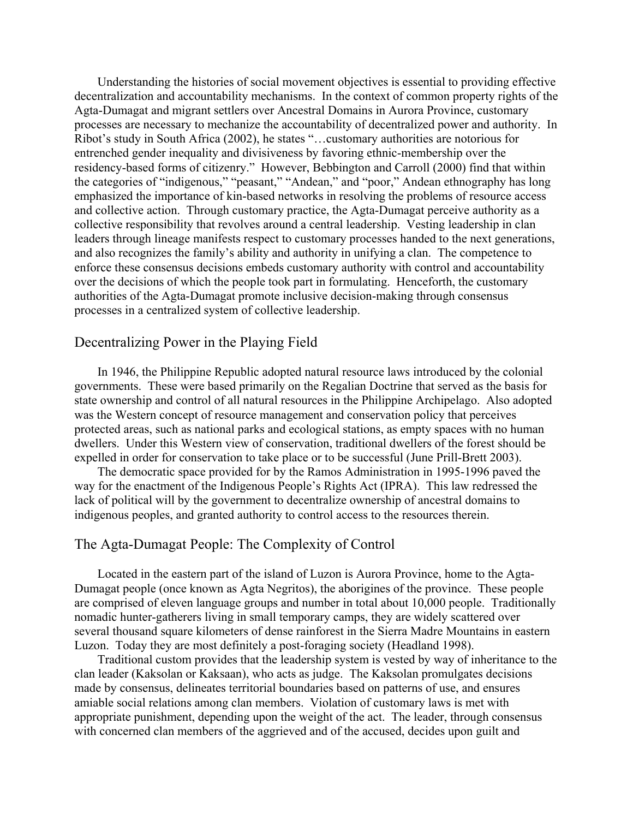Understanding the histories of social movement objectives is essential to providing effective decentralization and accountability mechanisms. In the context of common property rights of the Agta-Dumagat and migrant settlers over Ancestral Domains in Aurora Province, customary processes are necessary to mechanize the accountability of decentralized power and authority. In Ribot's study in South Africa (2002), he states "…customary authorities are notorious for entrenched gender inequality and divisiveness by favoring ethnic-membership over the residency-based forms of citizenry." However, Bebbington and Carroll (2000) find that within the categories of "indigenous," "peasant," "Andean," and "poor," Andean ethnography has long emphasized the importance of kin-based networks in resolving the problems of resource access and collective action. Through customary practice, the Agta-Dumagat perceive authority as a collective responsibility that revolves around a central leadership. Vesting leadership in clan leaders through lineage manifests respect to customary processes handed to the next generations, and also recognizes the family's ability and authority in unifying a clan. The competence to enforce these consensus decisions embeds customary authority with control and accountability over the decisions of which the people took part in formulating. Henceforth, the customary authorities of the Agta-Dumagat promote inclusive decision-making through consensus processes in a centralized system of collective leadership.

## Decentralizing Power in the Playing Field

In 1946, the Philippine Republic adopted natural resource laws introduced by the colonial governments. These were based primarily on the Regalian Doctrine that served as the basis for state ownership and control of all natural resources in the Philippine Archipelago. Also adopted was the Western concept of resource management and conservation policy that perceives protected areas, such as national parks and ecological stations, as empty spaces with no human dwellers. Under this Western view of conservation, traditional dwellers of the forest should be expelled in order for conservation to take place or to be successful (June Prill-Brett 2003).

The democratic space provided for by the Ramos Administration in 1995-1996 paved the way for the enactment of the Indigenous People's Rights Act (IPRA). This law redressed the lack of political will by the government to decentralize ownership of ancestral domains to indigenous peoples, and granted authority to control access to the resources therein.

## The Agta-Dumagat People: The Complexity of Control

Located in the eastern part of the island of Luzon is Aurora Province, home to the Agta-Dumagat people (once known as Agta Negritos), the aborigines of the province. These people are comprised of eleven language groups and number in total about 10,000 people. Traditionally nomadic hunter-gatherers living in small temporary camps, they are widely scattered over several thousand square kilometers of dense rainforest in the Sierra Madre Mountains in eastern Luzon. Today they are most definitely a post-foraging society (Headland 1998).

Traditional custom provides that the leadership system is vested by way of inheritance to the clan leader (Kaksolan or Kaksaan), who acts as judge. The Kaksolan promulgates decisions made by consensus, delineates territorial boundaries based on patterns of use, and ensures amiable social relations among clan members. Violation of customary laws is met with appropriate punishment, depending upon the weight of the act. The leader, through consensus with concerned clan members of the aggrieved and of the accused, decides upon guilt and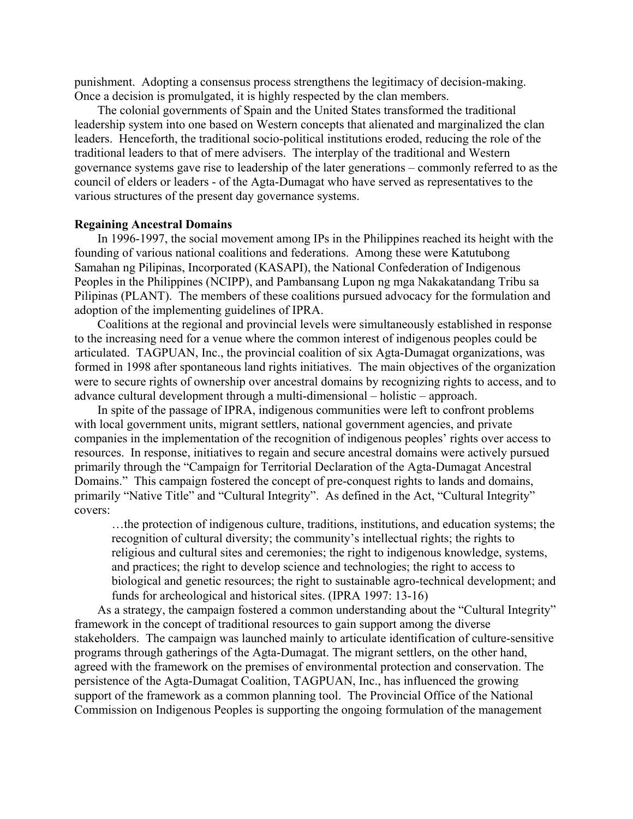punishment. Adopting a consensus process strengthens the legitimacy of decision-making. Once a decision is promulgated, it is highly respected by the clan members.

The colonial governments of Spain and the United States transformed the traditional leadership system into one based on Western concepts that alienated and marginalized the clan leaders. Henceforth, the traditional socio-political institutions eroded, reducing the role of the traditional leaders to that of mere advisers. The interplay of the traditional and Western governance systems gave rise to leadership of the later generations – commonly referred to as the council of elders or leaders - of the Agta-Dumagat who have served as representatives to the various structures of the present day governance systems.

### **Regaining Ancestral Domains**

In 1996-1997, the social movement among IPs in the Philippines reached its height with the founding of various national coalitions and federations. Among these were Katutubong Samahan ng Pilipinas, Incorporated (KASAPI), the National Confederation of Indigenous Peoples in the Philippines (NCIPP), and Pambansang Lupon ng mga Nakakatandang Tribu sa Pilipinas (PLANT). The members of these coalitions pursued advocacy for the formulation and adoption of the implementing guidelines of IPRA.

Coalitions at the regional and provincial levels were simultaneously established in response to the increasing need for a venue where the common interest of indigenous peoples could be articulated. TAGPUAN, Inc., the provincial coalition of six Agta-Dumagat organizations, was formed in 1998 after spontaneous land rights initiatives. The main objectives of the organization were to secure rights of ownership over ancestral domains by recognizing rights to access, and to advance cultural development through a multi-dimensional – holistic – approach.

In spite of the passage of IPRA, indigenous communities were left to confront problems with local government units, migrant settlers, national government agencies, and private companies in the implementation of the recognition of indigenous peoples' rights over access to resources. In response, initiatives to regain and secure ancestral domains were actively pursued primarily through the "Campaign for Territorial Declaration of the Agta-Dumagat Ancestral Domains." This campaign fostered the concept of pre-conquest rights to lands and domains, primarily "Native Title" and "Cultural Integrity". As defined in the Act, "Cultural Integrity" covers:

…the protection of indigenous culture, traditions, institutions, and education systems; the recognition of cultural diversity; the community's intellectual rights; the rights to religious and cultural sites and ceremonies; the right to indigenous knowledge, systems, and practices; the right to develop science and technologies; the right to access to biological and genetic resources; the right to sustainable agro-technical development; and funds for archeological and historical sites. (IPRA 1997: 13-16)

As a strategy, the campaign fostered a common understanding about the "Cultural Integrity" framework in the concept of traditional resources to gain support among the diverse stakeholders. The campaign was launched mainly to articulate identification of culture-sensitive programs through gatherings of the Agta-Dumagat. The migrant settlers, on the other hand, agreed with the framework on the premises of environmental protection and conservation. The persistence of the Agta-Dumagat Coalition, TAGPUAN, Inc., has influenced the growing support of the framework as a common planning tool. The Provincial Office of the National Commission on Indigenous Peoples is supporting the ongoing formulation of the management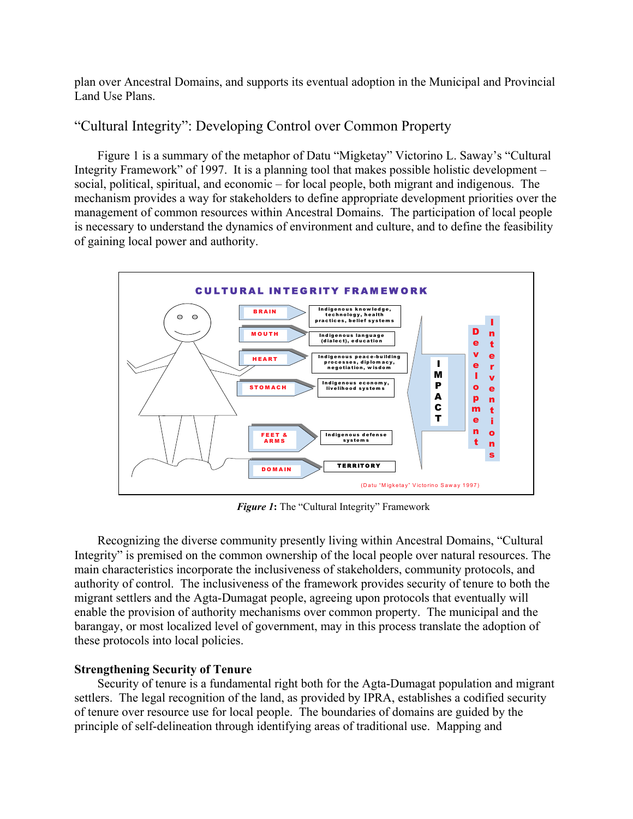plan over Ancestral Domains, and supports its eventual adoption in the Municipal and Provincial Land Use Plans.

# "Cultural Integrity": Developing Control over Common Property

Figure 1 is a summary of the metaphor of Datu "Migketay" Victorino L. Saway's "Cultural Integrity Framework" of 1997. It is a planning tool that makes possible holistic development – social, political, spiritual, and economic – for local people, both migrant and indigenous. The mechanism provides a way for stakeholders to define appropriate development priorities over the management of common resources within Ancestral Domains. The participation of local people is necessary to understand the dynamics of environment and culture, and to define the feasibility of gaining local power and authority.



*Figure 1***:** The "Cultural Integrity" Framework

Recognizing the diverse community presently living within Ancestral Domains, "Cultural Integrity" is premised on the common ownership of the local people over natural resources. The main characteristics incorporate the inclusiveness of stakeholders, community protocols, and authority of control. The inclusiveness of the framework provides security of tenure to both the migrant settlers and the Agta-Dumagat people, agreeing upon protocols that eventually will enable the provision of authority mechanisms over common property. The municipal and the barangay, or most localized level of government, may in this process translate the adoption of these protocols into local policies.

## **Strengthening Security of Tenure**

Security of tenure is a fundamental right both for the Agta-Dumagat population and migrant settlers. The legal recognition of the land, as provided by IPRA, establishes a codified security of tenure over resource use for local people. The boundaries of domains are guided by the principle of self-delineation through identifying areas of traditional use. Mapping and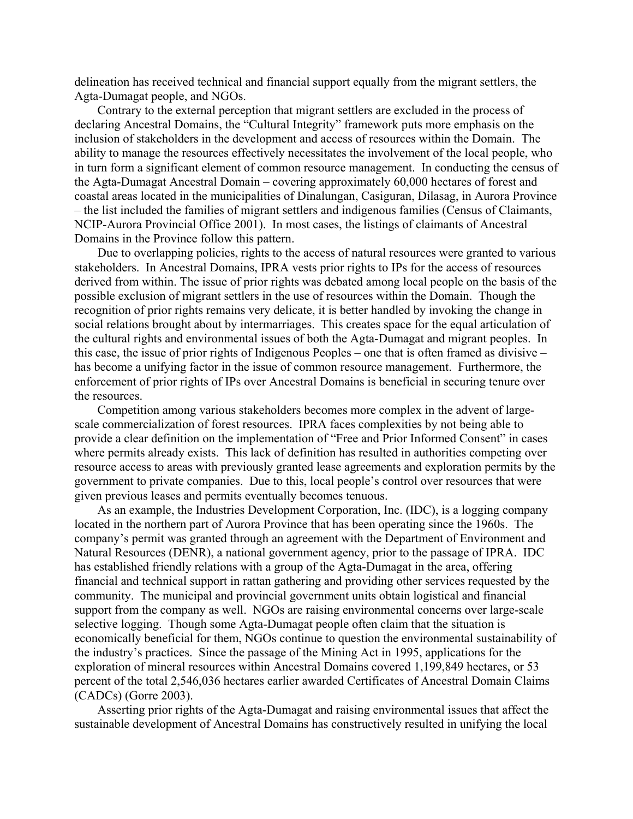delineation has received technical and financial support equally from the migrant settlers, the Agta-Dumagat people, and NGOs.

Contrary to the external perception that migrant settlers are excluded in the process of declaring Ancestral Domains, the "Cultural Integrity" framework puts more emphasis on the inclusion of stakeholders in the development and access of resources within the Domain. The ability to manage the resources effectively necessitates the involvement of the local people, who in turn form a significant element of common resource management. In conducting the census of the Agta-Dumagat Ancestral Domain – covering approximately 60,000 hectares of forest and coastal areas located in the municipalities of Dinalungan, Casiguran, Dilasag, in Aurora Province – the list included the families of migrant settlers and indigenous families (Census of Claimants, NCIP-Aurora Provincial Office 2001). In most cases, the listings of claimants of Ancestral Domains in the Province follow this pattern.

Due to overlapping policies, rights to the access of natural resources were granted to various stakeholders. In Ancestral Domains, IPRA vests prior rights to IPs for the access of resources derived from within. The issue of prior rights was debated among local people on the basis of the possible exclusion of migrant settlers in the use of resources within the Domain. Though the recognition of prior rights remains very delicate, it is better handled by invoking the change in social relations brought about by intermarriages. This creates space for the equal articulation of the cultural rights and environmental issues of both the Agta-Dumagat and migrant peoples. In this case, the issue of prior rights of Indigenous Peoples – one that is often framed as divisive – has become a unifying factor in the issue of common resource management. Furthermore, the enforcement of prior rights of IPs over Ancestral Domains is beneficial in securing tenure over the resources.

Competition among various stakeholders becomes more complex in the advent of largescale commercialization of forest resources. IPRA faces complexities by not being able to provide a clear definition on the implementation of "Free and Prior Informed Consent" in cases where permits already exists. This lack of definition has resulted in authorities competing over resource access to areas with previously granted lease agreements and exploration permits by the government to private companies. Due to this, local people's control over resources that were given previous leases and permits eventually becomes tenuous.

As an example, the Industries Development Corporation, Inc. (IDC), is a logging company located in the northern part of Aurora Province that has been operating since the 1960s. The company's permit was granted through an agreement with the Department of Environment and Natural Resources (DENR), a national government agency, prior to the passage of IPRA. IDC has established friendly relations with a group of the Agta-Dumagat in the area, offering financial and technical support in rattan gathering and providing other services requested by the community. The municipal and provincial government units obtain logistical and financial support from the company as well. NGOs are raising environmental concerns over large-scale selective logging. Though some Agta-Dumagat people often claim that the situation is economically beneficial for them, NGOs continue to question the environmental sustainability of the industry's practices. Since the passage of the Mining Act in 1995, applications for the exploration of mineral resources within Ancestral Domains covered 1,199,849 hectares, or 53 percent of the total 2,546,036 hectares earlier awarded Certificates of Ancestral Domain Claims (CADCs) (Gorre 2003).

Asserting prior rights of the Agta-Dumagat and raising environmental issues that affect the sustainable development of Ancestral Domains has constructively resulted in unifying the local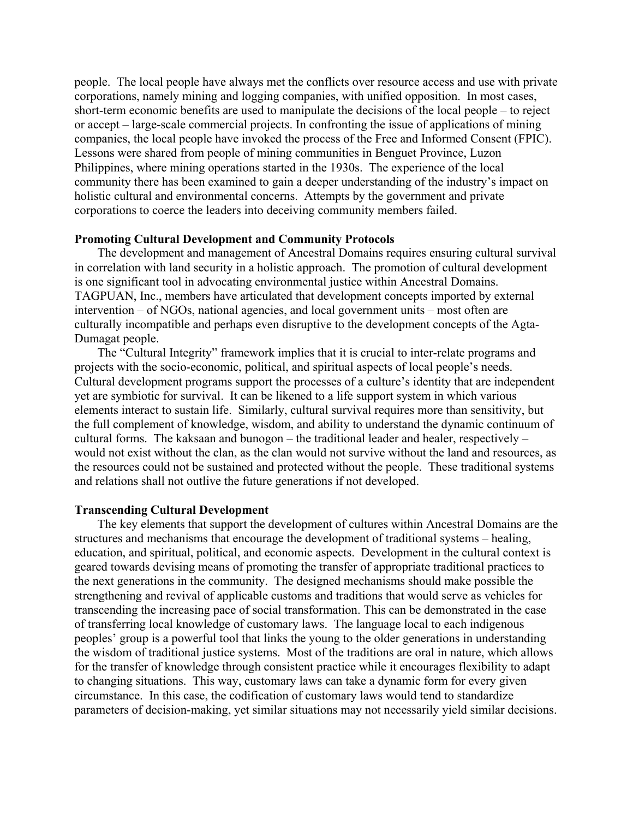people. The local people have always met the conflicts over resource access and use with private corporations, namely mining and logging companies, with unified opposition. In most cases, short-term economic benefits are used to manipulate the decisions of the local people – to reject or accept – large-scale commercial projects. In confronting the issue of applications of mining companies, the local people have invoked the process of the Free and Informed Consent (FPIC). Lessons were shared from people of mining communities in Benguet Province, Luzon Philippines, where mining operations started in the 1930s. The experience of the local community there has been examined to gain a deeper understanding of the industry's impact on holistic cultural and environmental concerns. Attempts by the government and private corporations to coerce the leaders into deceiving community members failed.

### **Promoting Cultural Development and Community Protocols**

The development and management of Ancestral Domains requires ensuring cultural survival in correlation with land security in a holistic approach. The promotion of cultural development is one significant tool in advocating environmental justice within Ancestral Domains. TAGPUAN, Inc., members have articulated that development concepts imported by external intervention – of NGOs, national agencies, and local government units – most often are culturally incompatible and perhaps even disruptive to the development concepts of the Agta-Dumagat people.

The "Cultural Integrity" framework implies that it is crucial to inter-relate programs and projects with the socio-economic, political, and spiritual aspects of local people's needs. Cultural development programs support the processes of a culture's identity that are independent yet are symbiotic for survival. It can be likened to a life support system in which various elements interact to sustain life. Similarly, cultural survival requires more than sensitivity, but the full complement of knowledge, wisdom, and ability to understand the dynamic continuum of cultural forms. The kaksaan and bunogon – the traditional leader and healer, respectively – would not exist without the clan, as the clan would not survive without the land and resources, as the resources could not be sustained and protected without the people. These traditional systems and relations shall not outlive the future generations if not developed.

### **Transcending Cultural Development**

The key elements that support the development of cultures within Ancestral Domains are the structures and mechanisms that encourage the development of traditional systems – healing, education, and spiritual, political, and economic aspects. Development in the cultural context is geared towards devising means of promoting the transfer of appropriate traditional practices to the next generations in the community. The designed mechanisms should make possible the strengthening and revival of applicable customs and traditions that would serve as vehicles for transcending the increasing pace of social transformation. This can be demonstrated in the case of transferring local knowledge of customary laws. The language local to each indigenous peoples' group is a powerful tool that links the young to the older generations in understanding the wisdom of traditional justice systems. Most of the traditions are oral in nature, which allows for the transfer of knowledge through consistent practice while it encourages flexibility to adapt to changing situations. This way, customary laws can take a dynamic form for every given circumstance. In this case, the codification of customary laws would tend to standardize parameters of decision-making, yet similar situations may not necessarily yield similar decisions.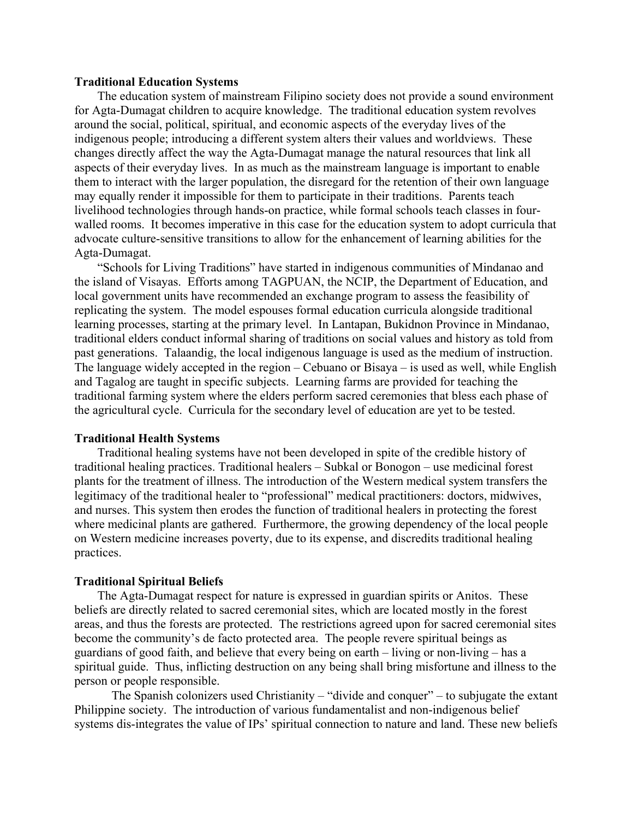### **Traditional Education Systems**

The education system of mainstream Filipino society does not provide a sound environment for Agta-Dumagat children to acquire knowledge. The traditional education system revolves around the social, political, spiritual, and economic aspects of the everyday lives of the indigenous people; introducing a different system alters their values and worldviews. These changes directly affect the way the Agta-Dumagat manage the natural resources that link all aspects of their everyday lives. In as much as the mainstream language is important to enable them to interact with the larger population, the disregard for the retention of their own language may equally render it impossible for them to participate in their traditions. Parents teach livelihood technologies through hands-on practice, while formal schools teach classes in fourwalled rooms. It becomes imperative in this case for the education system to adopt curricula that advocate culture-sensitive transitions to allow for the enhancement of learning abilities for the Agta-Dumagat.

"Schools for Living Traditions" have started in indigenous communities of Mindanao and the island of Visayas. Efforts among TAGPUAN, the NCIP, the Department of Education, and local government units have recommended an exchange program to assess the feasibility of replicating the system. The model espouses formal education curricula alongside traditional learning processes, starting at the primary level. In Lantapan, Bukidnon Province in Mindanao, traditional elders conduct informal sharing of traditions on social values and history as told from past generations. Talaandig, the local indigenous language is used as the medium of instruction. The language widely accepted in the region – Cebuano or Bisaya – is used as well, while English and Tagalog are taught in specific subjects. Learning farms are provided for teaching the traditional farming system where the elders perform sacred ceremonies that bless each phase of the agricultural cycle. Curricula for the secondary level of education are yet to be tested.

## **Traditional Health Systems**

Traditional healing systems have not been developed in spite of the credible history of traditional healing practices. Traditional healers – Subkal or Bonogon – use medicinal forest plants for the treatment of illness. The introduction of the Western medical system transfers the legitimacy of the traditional healer to "professional" medical practitioners: doctors, midwives, and nurses. This system then erodes the function of traditional healers in protecting the forest where medicinal plants are gathered. Furthermore, the growing dependency of the local people on Western medicine increases poverty, due to its expense, and discredits traditional healing practices.

#### **Traditional Spiritual Beliefs**

The Agta-Dumagat respect for nature is expressed in guardian spirits or Anitos. These beliefs are directly related to sacred ceremonial sites, which are located mostly in the forest areas, and thus the forests are protected. The restrictions agreed upon for sacred ceremonial sites become the community's de facto protected area. The people revere spiritual beings as guardians of good faith, and believe that every being on earth – living or non-living – has a spiritual guide. Thus, inflicting destruction on any being shall bring misfortune and illness to the person or people responsible.

 The Spanish colonizers used Christianity – "divide and conquer" – to subjugate the extant Philippine society. The introduction of various fundamentalist and non-indigenous belief systems dis-integrates the value of IPs' spiritual connection to nature and land. These new beliefs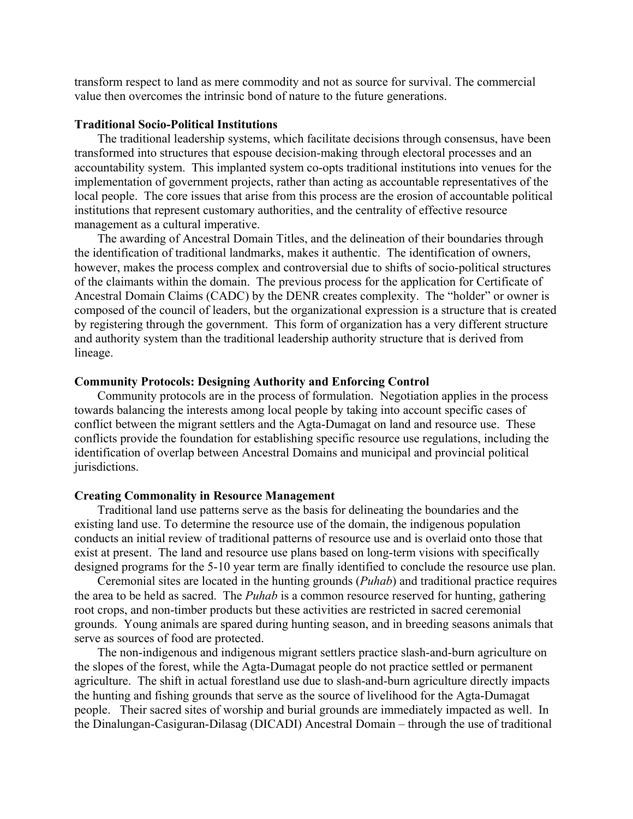transform respect to land as mere commodity and not as source for survival. The commercial value then overcomes the intrinsic bond of nature to the future generations.

#### **Traditional Socio-Political Institutions**

The traditional leadership systems, which facilitate decisions through consensus, have been transformed into structures that espouse decision-making through electoral processes and an accountability system. This implanted system co-opts traditional institutions into venues for the implementation of government projects, rather than acting as accountable representatives of the local people. The core issues that arise from this process are the erosion of accountable political institutions that represent customary authorities, and the centrality of effective resource management as a cultural imperative.

The awarding of Ancestral Domain Titles, and the delineation of their boundaries through the identification of traditional landmarks, makes it authentic. The identification of owners, however, makes the process complex and controversial due to shifts of socio-political structures of the claimants within the domain. The previous process for the application for Certificate of Ancestral Domain Claims (CADC) by the DENR creates complexity. The "holder" or owner is composed of the council of leaders, but the organizational expression is a structure that is created by registering through the government. This form of organization has a very different structure and authority system than the traditional leadership authority structure that is derived from lineage.

#### **Community Protocols: Designing Authority and Enforcing Control**

Community protocols are in the process of formulation. Negotiation applies in the process towards balancing the interests among local people by taking into account specific cases of conflict between the migrant settlers and the Agta-Dumagat on land and resource use. These conflicts provide the foundation for establishing specific resource use regulations, including the identification of overlap between Ancestral Domains and municipal and provincial political jurisdictions.

#### **Creating Commonality in Resource Management**

Traditional land use patterns serve as the basis for delineating the boundaries and the existing land use. To determine the resource use of the domain, the indigenous population conducts an initial review of traditional patterns of resource use and is overlaid onto those that exist at present. The land and resource use plans based on long-term visions with specifically designed programs for the 5-10 year term are finally identified to conclude the resource use plan.

Ceremonial sites are located in the hunting grounds (*Puhab*) and traditional practice requires the area to be held as sacred. The *Puhab* is a common resource reserved for hunting, gathering root crops, and non-timber products but these activities are restricted in sacred ceremonial grounds. Young animals are spared during hunting season, and in breeding seasons animals that serve as sources of food are protected.

The non-indigenous and indigenous migrant settlers practice slash-and-burn agriculture on the slopes of the forest, while the Agta-Dumagat people do not practice settled or permanent agriculture. The shift in actual forestland use due to slash-and-burn agriculture directly impacts the hunting and fishing grounds that serve as the source of livelihood for the Agta-Dumagat people. Their sacred sites of worship and burial grounds are immediately impacted as well. In the Dinalungan-Casiguran-Dilasag (DICADI) Ancestral Domain – through the use of traditional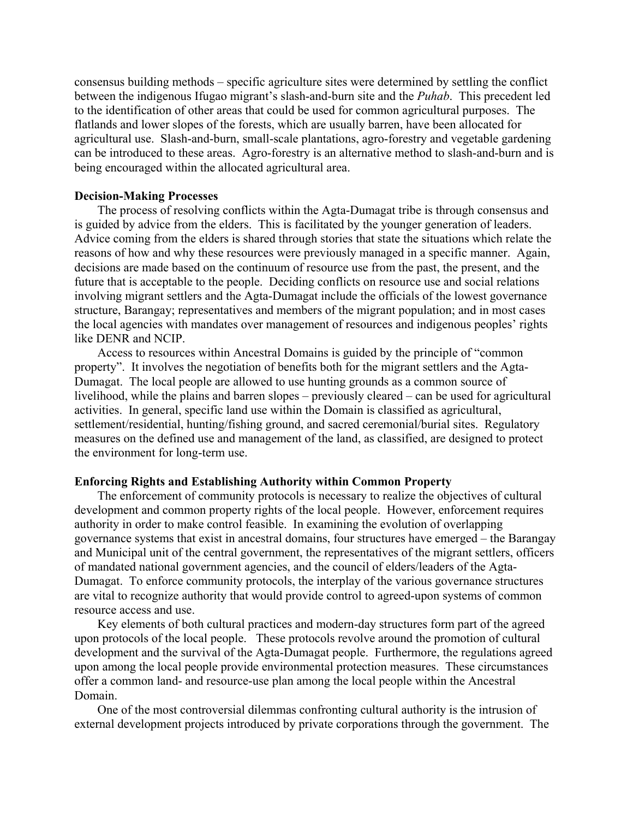consensus building methods – specific agriculture sites were determined by settling the conflict between the indigenous Ifugao migrant's slash-and-burn site and the *Puhab*. This precedent led to the identification of other areas that could be used for common agricultural purposes. The flatlands and lower slopes of the forests, which are usually barren, have been allocated for agricultural use. Slash-and-burn, small-scale plantations, agro-forestry and vegetable gardening can be introduced to these areas. Agro-forestry is an alternative method to slash-and-burn and is being encouraged within the allocated agricultural area.

#### **Decision-Making Processes**

The process of resolving conflicts within the Agta-Dumagat tribe is through consensus and is guided by advice from the elders. This is facilitated by the younger generation of leaders. Advice coming from the elders is shared through stories that state the situations which relate the reasons of how and why these resources were previously managed in a specific manner. Again, decisions are made based on the continuum of resource use from the past, the present, and the future that is acceptable to the people. Deciding conflicts on resource use and social relations involving migrant settlers and the Agta-Dumagat include the officials of the lowest governance structure, Barangay; representatives and members of the migrant population; and in most cases the local agencies with mandates over management of resources and indigenous peoples' rights like DENR and NCIP.

Access to resources within Ancestral Domains is guided by the principle of "common property". It involves the negotiation of benefits both for the migrant settlers and the Agta-Dumagat. The local people are allowed to use hunting grounds as a common source of livelihood, while the plains and barren slopes – previously cleared – can be used for agricultural activities. In general, specific land use within the Domain is classified as agricultural, settlement/residential, hunting/fishing ground, and sacred ceremonial/burial sites. Regulatory measures on the defined use and management of the land, as classified, are designed to protect the environment for long-term use.

#### **Enforcing Rights and Establishing Authority within Common Property**

The enforcement of community protocols is necessary to realize the objectives of cultural development and common property rights of the local people. However, enforcement requires authority in order to make control feasible. In examining the evolution of overlapping governance systems that exist in ancestral domains, four structures have emerged – the Barangay and Municipal unit of the central government, the representatives of the migrant settlers, officers of mandated national government agencies, and the council of elders/leaders of the Agta-Dumagat. To enforce community protocols, the interplay of the various governance structures are vital to recognize authority that would provide control to agreed-upon systems of common resource access and use.

Key elements of both cultural practices and modern-day structures form part of the agreed upon protocols of the local people. These protocols revolve around the promotion of cultural development and the survival of the Agta-Dumagat people. Furthermore, the regulations agreed upon among the local people provide environmental protection measures. These circumstances offer a common land- and resource-use plan among the local people within the Ancestral Domain.

One of the most controversial dilemmas confronting cultural authority is the intrusion of external development projects introduced by private corporations through the government. The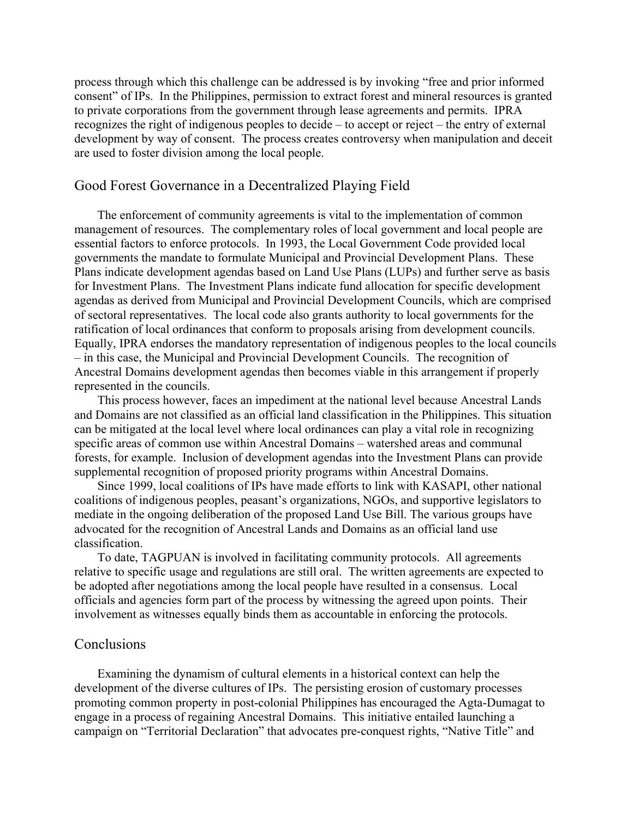process through which this challenge can be addressed is by invoking "free and prior informed consent" of IPs. In the Philippines, permission to extract forest and mineral resources is granted to private corporations from the government through lease agreements and permits. IPRA recognizes the right of indigenous peoples to decide – to accept or reject – the entry of external development by way of consent. The process creates controversy when manipulation and deceit are used to foster division among the local people.

## Good Forest Governance in a Decentralized Playing Field

The enforcement of community agreements is vital to the implementation of common management of resources. The complementary roles of local government and local people are essential factors to enforce protocols. In 1993, the Local Government Code provided local governments the mandate to formulate Municipal and Provincial Development Plans. These Plans indicate development agendas based on Land Use Plans (LUPs) and further serve as basis for Investment Plans. The Investment Plans indicate fund allocation for specific development agendas as derived from Municipal and Provincial Development Councils, which are comprised of sectoral representatives. The local code also grants authority to local governments for the ratification of local ordinances that conform to proposals arising from development councils. Equally, IPRA endorses the mandatory representation of indigenous peoples to the local councils – in this case, the Municipal and Provincial Development Councils. The recognition of Ancestral Domains development agendas then becomes viable in this arrangement if properly represented in the councils.

This process however, faces an impediment at the national level because Ancestral Lands and Domains are not classified as an official land classification in the Philippines. This situation can be mitigated at the local level where local ordinances can play a vital role in recognizing specific areas of common use within Ancestral Domains – watershed areas and communal forests, for example. Inclusion of development agendas into the Investment Plans can provide supplemental recognition of proposed priority programs within Ancestral Domains.

Since 1999, local coalitions of IPs have made efforts to link with KASAPI, other national coalitions of indigenous peoples, peasant's organizations, NGOs, and supportive legislators to mediate in the ongoing deliberation of the proposed Land Use Bill. The various groups have advocated for the recognition of Ancestral Lands and Domains as an official land use classification.

To date, TAGPUAN is involved in facilitating community protocols. All agreements relative to specific usage and regulations are still oral. The written agreements are expected to be adopted after negotiations among the local people have resulted in a consensus. Local officials and agencies form part of the process by witnessing the agreed upon points. Their involvement as witnesses equally binds them as accountable in enforcing the protocols.

## **Conclusions**

Examining the dynamism of cultural elements in a historical context can help the development of the diverse cultures of IPs. The persisting erosion of customary processes promoting common property in post-colonial Philippines has encouraged the Agta-Dumagat to engage in a process of regaining Ancestral Domains. This initiative entailed launching a campaign on "Territorial Declaration" that advocates pre-conquest rights, "Native Title" and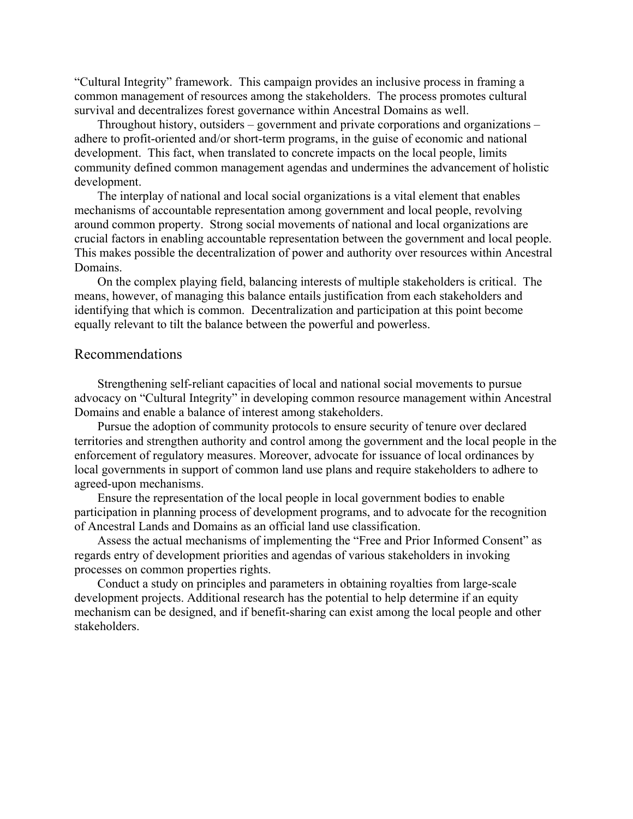"Cultural Integrity" framework. This campaign provides an inclusive process in framing a common management of resources among the stakeholders. The process promotes cultural survival and decentralizes forest governance within Ancestral Domains as well.

Throughout history, outsiders – government and private corporations and organizations – adhere to profit-oriented and/or short-term programs, in the guise of economic and national development. This fact, when translated to concrete impacts on the local people, limits community defined common management agendas and undermines the advancement of holistic development.

The interplay of national and local social organizations is a vital element that enables mechanisms of accountable representation among government and local people, revolving around common property. Strong social movements of national and local organizations are crucial factors in enabling accountable representation between the government and local people. This makes possible the decentralization of power and authority over resources within Ancestral Domains.

On the complex playing field, balancing interests of multiple stakeholders is critical. The means, however, of managing this balance entails justification from each stakeholders and identifying that which is common. Decentralization and participation at this point become equally relevant to tilt the balance between the powerful and powerless.

## Recommendations

Strengthening self-reliant capacities of local and national social movements to pursue advocacy on "Cultural Integrity" in developing common resource management within Ancestral Domains and enable a balance of interest among stakeholders.

Pursue the adoption of community protocols to ensure security of tenure over declared territories and strengthen authority and control among the government and the local people in the enforcement of regulatory measures. Moreover, advocate for issuance of local ordinances by local governments in support of common land use plans and require stakeholders to adhere to agreed-upon mechanisms.

Ensure the representation of the local people in local government bodies to enable participation in planning process of development programs, and to advocate for the recognition of Ancestral Lands and Domains as an official land use classification.

Assess the actual mechanisms of implementing the "Free and Prior Informed Consent" as regards entry of development priorities and agendas of various stakeholders in invoking processes on common properties rights.

Conduct a study on principles and parameters in obtaining royalties from large-scale development projects. Additional research has the potential to help determine if an equity mechanism can be designed, and if benefit-sharing can exist among the local people and other stakeholders.